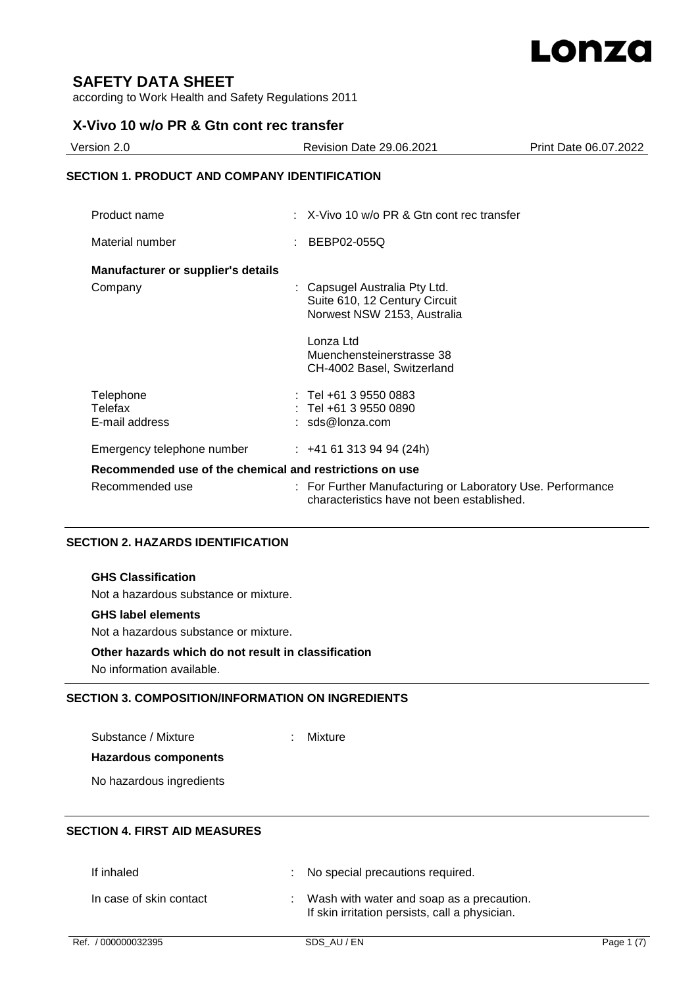

# **SAFETY DATA SHEET**

according to Work Health and Safety Regulations 2011

# **X-Vivo 10 w/o PR & Gtn cont rec transfer**

| Version 2.0                                          | <b>Revision Date 29.06.2021</b>                       | Print Date 06.07.2022 |
|------------------------------------------------------|-------------------------------------------------------|-----------------------|
| <b>SECTION 1. PRODUCT AND COMPANY IDENTIFICATION</b> |                                                       |                       |
| Product name                                         | $\therefore$ X-Vivo 10 w/o PR & Gtn cont rec transfer |                       |
| Material number                                      | BEBP02-055Q                                           |                       |

#### **Manufacturer or supplier's details**

| Company                                                 | : Capsugel Australia Pty Ltd.<br>Suite 610, 12 Century Circuit<br>Norwest NSW 2153, Australia            |
|---------------------------------------------------------|----------------------------------------------------------------------------------------------------------|
|                                                         | Lonza Ltd                                                                                                |
|                                                         | Muenchensteinerstrasse 38                                                                                |
|                                                         | CH-4002 Basel, Switzerland                                                                               |
| Telephone                                               | $:$ Tel +61 3 9550 0883                                                                                  |
| Telefax                                                 | $:$ Tel +61 3 9550 0890                                                                                  |
| E-mail address                                          | $: sds@$ lonza.com                                                                                       |
| Emergency telephone number                              | $\div$ +41 61 313 94 94 (24h)                                                                            |
| Recommended use of the chemical and restrictions on use |                                                                                                          |
| Recommended use                                         | : For Further Manufacturing or Laboratory Use. Performance<br>characteristics have not been established. |

#### **SECTION 2. HAZARDS IDENTIFICATION**

#### **GHS Classification**

Not a hazardous substance or mixture.

#### **GHS label elements**

Not a hazardous substance or mixture.

#### **Other hazards which do not result in classification**

No information available.

## **SECTION 3. COMPOSITION/INFORMATION ON INGREDIENTS**

Substance / Mixture : Mixture :

## **Hazardous components**

No hazardous ingredients

# **SECTION 4. FIRST AID MEASURES**

| If inhaled              | : No special precautions required.                                                            |
|-------------------------|-----------------------------------------------------------------------------------------------|
| In case of skin contact | : Wash with water and soap as a precaution.<br>If skin irritation persists, call a physician. |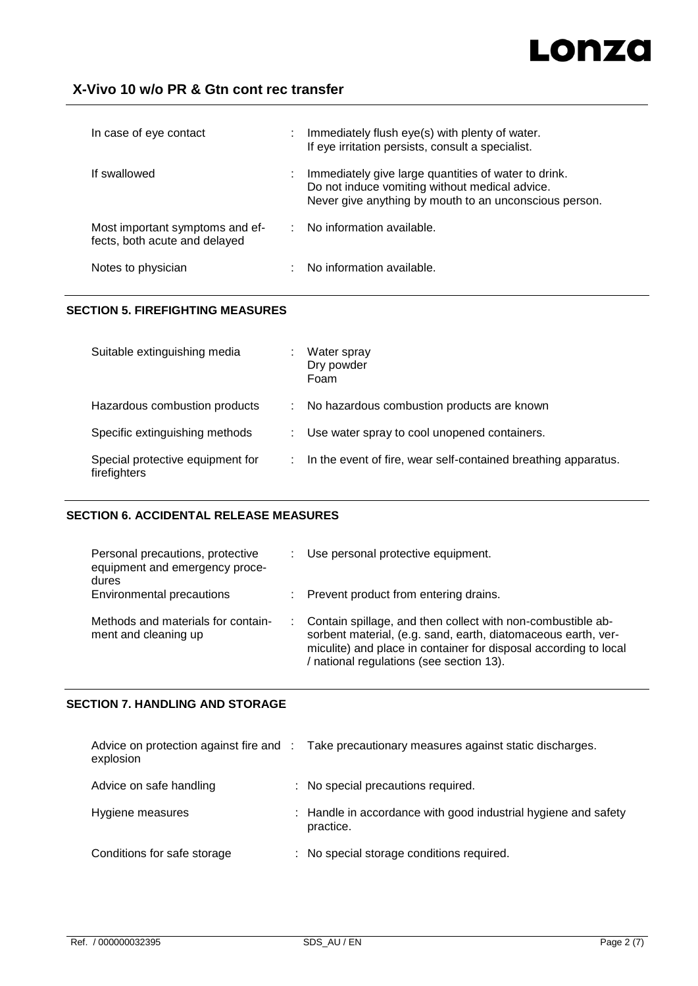# Lonza

# **X-Vivo 10 w/o PR & Gtn cont rec transfer**

| In case of eye contact                                           | ÷. | Immediately flush eye(s) with plenty of water.<br>If eye irritation persists, consult a specialist.                                                              |
|------------------------------------------------------------------|----|------------------------------------------------------------------------------------------------------------------------------------------------------------------|
| If swallowed                                                     | ÷. | Immediately give large quantities of water to drink.<br>Do not induce vomiting without medical advice.<br>Never give anything by mouth to an unconscious person. |
| Most important symptoms and ef-<br>fects, both acute and delayed |    | No information available.                                                                                                                                        |
| Notes to physician                                               |    | No information available.                                                                                                                                        |

#### **SECTION 5. FIREFIGHTING MEASURES**

| Suitable extinguishing media                     | Water spray<br>Dry powder<br>Foam                              |
|--------------------------------------------------|----------------------------------------------------------------|
| Hazardous combustion products                    | No hazardous combustion products are known                     |
| Specific extinguishing methods                   | Use water spray to cool unopened containers.                   |
| Special protective equipment for<br>firefighters | In the event of fire, wear self-contained breathing apparatus. |

#### **SECTION 6. ACCIDENTAL RELEASE MEASURES**

| Personal precautions, protective<br>equipment and emergency proce-<br>dures | Use personal protective equipment.                                                                                                                                                                                                           |
|-----------------------------------------------------------------------------|----------------------------------------------------------------------------------------------------------------------------------------------------------------------------------------------------------------------------------------------|
| Environmental precautions                                                   | : Prevent product from entering drains.                                                                                                                                                                                                      |
| Methods and materials for contain-<br>ment and cleaning up                  | Contain spillage, and then collect with non-combustible ab-<br>sorbent material, (e.g. sand, earth, diatomaceous earth, ver-<br>miculite) and place in container for disposal according to local<br>/ national regulations (see section 13). |

#### **SECTION 7. HANDLING AND STORAGE**

| explosion                   | Advice on protection against fire and : Take precautionary measures against static discharges. |
|-----------------------------|------------------------------------------------------------------------------------------------|
| Advice on safe handling     | : No special precautions required.                                                             |
| Hygiene measures            | : Handle in accordance with good industrial hygiene and safety<br>practice.                    |
| Conditions for safe storage | : No special storage conditions required.                                                      |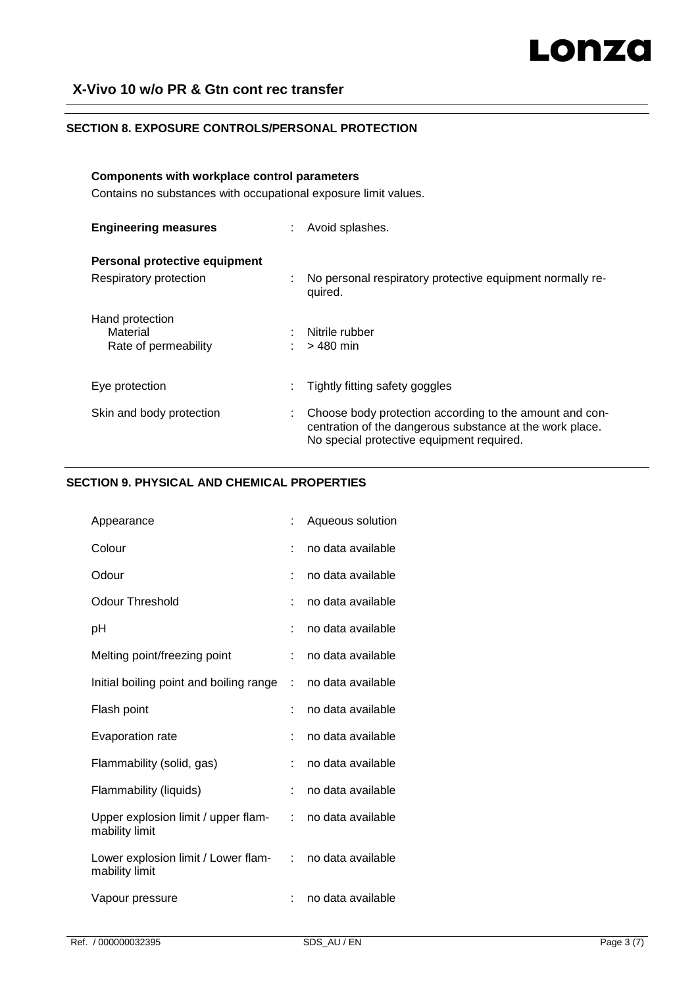# **X-Vivo 10 w/o PR & Gtn cont rec transfer**

#### **SECTION 8. EXPOSURE CONTROLS/PERSONAL PROTECTION**

# **Components with workplace control parameters**

Contains no substances with occupational exposure limit values.

| <b>Engineering measures</b>   | Avoid splashes.                                                                                                                                                  |
|-------------------------------|------------------------------------------------------------------------------------------------------------------------------------------------------------------|
| Personal protective equipment |                                                                                                                                                                  |
| Respiratory protection        | No personal respiratory protective equipment normally re-<br>quired.                                                                                             |
| Hand protection               |                                                                                                                                                                  |
| Material                      | Nitrile rubber                                                                                                                                                   |
| Rate of permeability          | > 480 min                                                                                                                                                        |
| Eye protection                | Tightly fitting safety goggles                                                                                                                                   |
| Skin and body protection      | Choose body protection according to the amount and con-<br>centration of the dangerous substance at the work place.<br>No special protective equipment required. |

# **SECTION 9. PHYSICAL AND CHEMICAL PROPERTIES**

| Appearance                                            |    | Aqueous solution  |
|-------------------------------------------------------|----|-------------------|
| Colour                                                |    | no data available |
| Odour                                                 |    | no data available |
| Odour Threshold                                       |    | no data available |
| рH                                                    |    | no data available |
| Melting point/freezing point                          |    | no data available |
| Initial boiling point and boiling range               | t  | no data available |
| Flash point                                           |    | no data available |
| Evaporation rate                                      |    | no data available |
| Flammability (solid, gas)                             | t. | no data available |
| Flammability (liquids)                                | t. | no data available |
| Upper explosion limit / upper flam-<br>mability limit | t. | no data available |
| Lower explosion limit / Lower flam-<br>mability limit | t. | no data available |
| Vapour pressure                                       |    | no data available |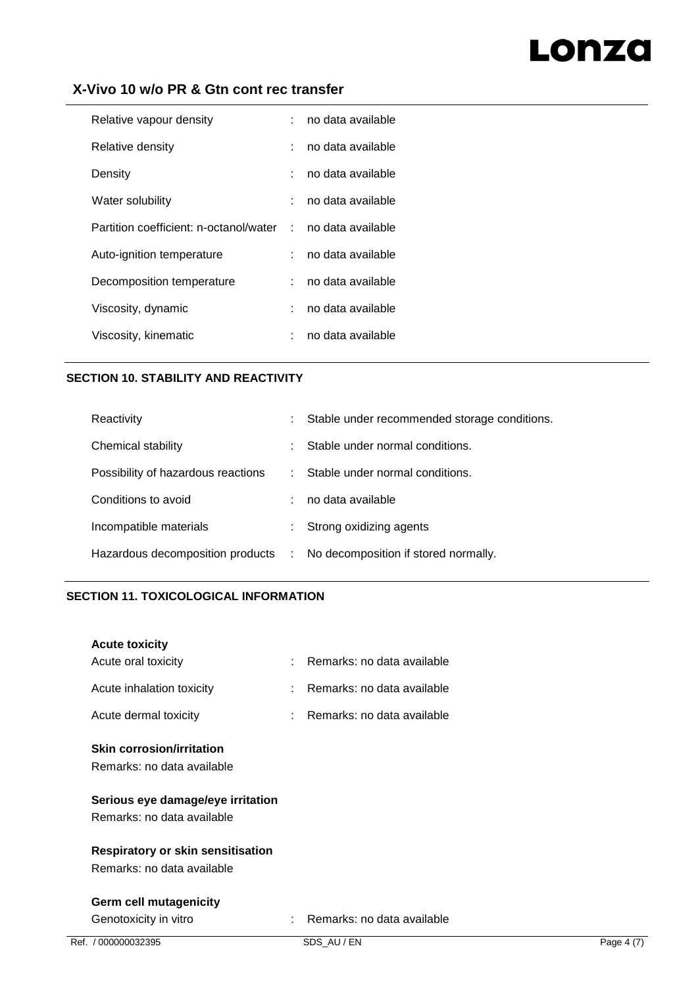# Lonza

# **X-Vivo 10 w/o PR & Gtn cont rec transfer**

| Relative vapour density                | ÷.                          | no data available |
|----------------------------------------|-----------------------------|-------------------|
| Relative density                       | ÷                           | no data available |
| Density                                | ÷.                          | no data available |
| Water solubility                       | ÷.                          | no data available |
| Partition coefficient: n-octanol/water | $\sim 10^{-1}$              | no data available |
| Auto-ignition temperature              | ÷                           | no data available |
| Decomposition temperature              | $\mathcal{L}^{\mathcal{L}}$ | no data available |
| Viscosity, dynamic                     | ÷                           | no data available |
| Viscosity, kinematic                   | ÷                           | no data available |
|                                        |                             |                   |

### **SECTION 10. STABILITY AND REACTIVITY**

| Reactivity                         |    | Stable under recommended storage conditions. |
|------------------------------------|----|----------------------------------------------|
| Chemical stability                 |    | Stable under normal conditions.              |
| Possibility of hazardous reactions | ÷. | Stable under normal conditions.              |
| Conditions to avoid                |    | no data available                            |
| Incompatible materials             |    | Strong oxidizing agents                      |
| Hazardous decomposition products   | ÷. | No decomposition if stored normally.         |

### **SECTION 11. TOXICOLOGICAL INFORMATION**

| Ref. / 000000032395                      | SDS AU/EN                      | Page 4 (7) |
|------------------------------------------|--------------------------------|------------|
| Genotoxicity in vitro                    | Remarks: no data available     |            |
| <b>Germ cell mutagenicity</b>            |                                |            |
| Remarks: no data available               |                                |            |
| <b>Respiratory or skin sensitisation</b> |                                |            |
| Remarks: no data available               |                                |            |
| Serious eye damage/eye irritation        |                                |            |
| Remarks: no data available               |                                |            |
| <b>Skin corrosion/irritation</b>         |                                |            |
| Acute dermal toxicity                    | $:$ Remarks: no data available |            |
| Acute inhalation toxicity                | Remarks: no data available     |            |
| Acute oral toxicity                      | Remarks: no data available     |            |
| <b>Acute toxicity</b>                    |                                |            |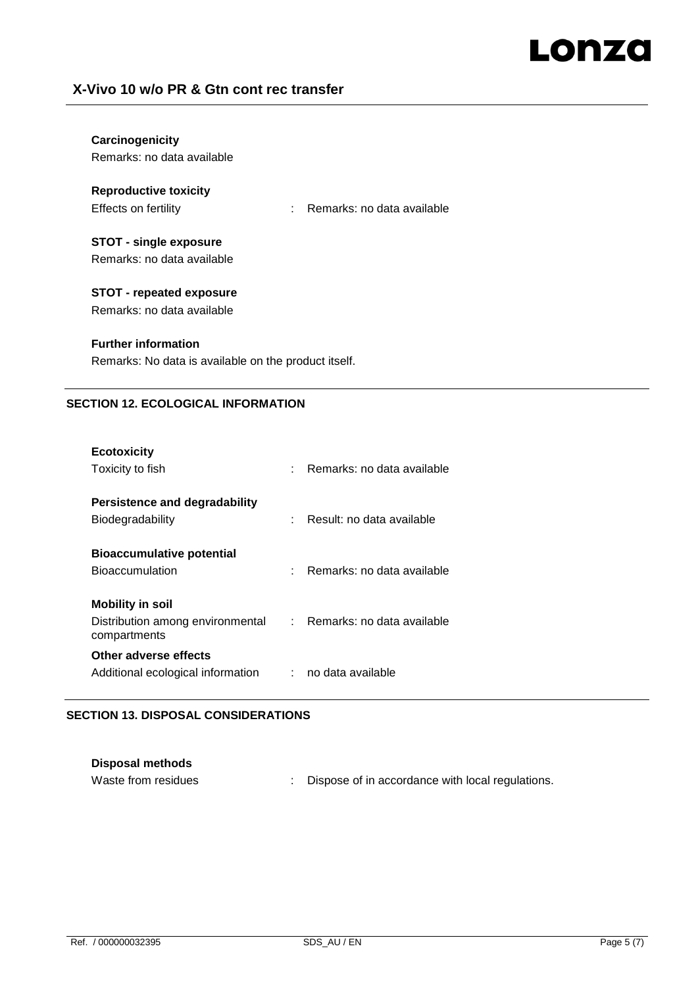# Lonza

# **X-Vivo 10 w/o PR & Gtn cont rec transfer**

| Carcinogenicity<br>Remarks: no data available                                      |                                    |  |  |
|------------------------------------------------------------------------------------|------------------------------------|--|--|
| <b>Reproductive toxicity</b><br>Effects on fertility                               | Remarks: no data available<br>t in |  |  |
| STOT - single exposure<br>Remarks: no data available                               |                                    |  |  |
| STOT - repeated exposure<br>Remarks: no data available                             |                                    |  |  |
| <b>Further information</b><br>Remarks: No data is available on the product itself. |                                    |  |  |

#### **SECTION 12. ECOLOGICAL INFORMATION**

| <b>Ecotoxicity</b>                                                            |                              |
|-------------------------------------------------------------------------------|------------------------------|
| Toxicity to fish                                                              | : Remarks: no data available |
| Persistence and degradability<br>Biodegradability                             | Result: no data available    |
| <b>Bioaccumulative potential</b><br><b>Bioaccumulation</b>                    | Remarks: no data available   |
| <b>Mobility in soil</b>                                                       |                              |
| Distribution among environmental : Remarks: no data available<br>compartments |                              |
| Other adverse effects                                                         |                              |
| Additional ecological information                                             | no data available            |

### **SECTION 13. DISPOSAL CONSIDERATIONS**

| <b>Disposal methods</b> |                                                  |
|-------------------------|--------------------------------------------------|
| Waste from residues     | Dispose of in accordance with local regulations. |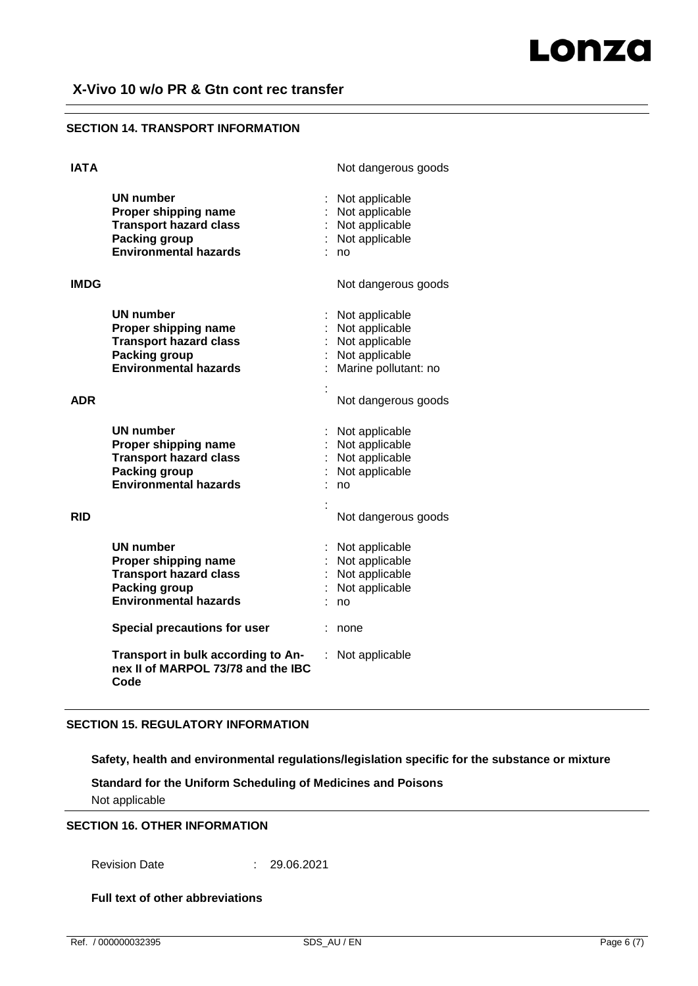#### **SECTION 14. TRANSPORT INFORMATION**

| Not dangerous goods                                                                          |
|----------------------------------------------------------------------------------------------|
| Not applicable<br>Not applicable<br>Not applicable<br>Not applicable<br>no                   |
| Not dangerous goods                                                                          |
| Not applicable<br>Not applicable<br>Not applicable<br>Not applicable<br>Marine pollutant: no |
| Not dangerous goods                                                                          |
| Not applicable<br>Not applicable<br>Not applicable<br>Not applicable<br>no                   |
| Not dangerous goods                                                                          |
| Not applicable<br>Not applicable<br>Not applicable<br>Not applicable<br>no                   |
| none                                                                                         |
| Not applicable                                                                               |
|                                                                                              |

#### **SECTION 15. REGULATORY INFORMATION**

**Safety, health and environmental regulations/legislation specific for the substance or mixture**

**Standard for the Uniform Scheduling of Medicines and Poisons** Not applicable

#### **SECTION 16. OTHER INFORMATION**

Revision Date : 29.06.2021

**Full text of other abbreviations**